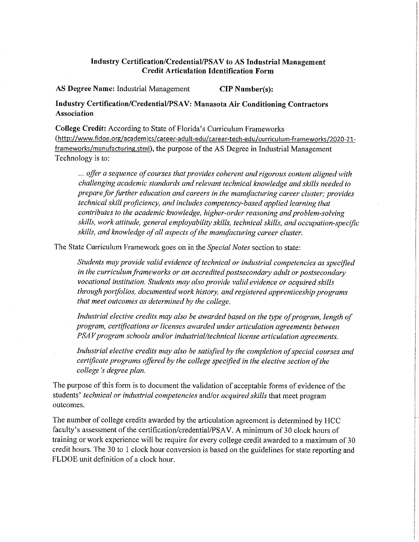## Industry Certification/Credential/PSAV to AS Industrial Management **Credit Articulation Identification Form**

AS Degree Name: Industrial Management **CIP Number(s):** 

**Industry Certification/Credential/PSAV: Manasota Air Conditioning Contractors Association** 

**College Credit:** According to State of Florida's Curriculum Frameworks (http :/[/www.fldoe.org/](www.fldoe.org) academics/ career-ad u lt-ed u/ ca reer-tech-ed u / cu rricu lu m-fra meworks/2020-21 frameworks/manufacturing.stml), the purpose of the AS Degree in Industrial Management Technology is to:

... offer a sequence of courses that provides coherent and rigorous content aligned with *challenging academic standards and relevant technical knowledge and skills needed to prepare for further education and careers in the manufacturing career cluster; provides technical skill proficiency, and includes competency-based applied learning that contributes to the academic knowledge, higher-order reasoning and problem-solving skills, work attitude, general employability skills, technical skills, and occupation-specific skills, and knowledge of all aspects of the manufacturing career cluster.* 

The State Curriculum Framework goes on in the *Special Notes* section to state:

*Students may provide valid evidence oftechnical or industrial competencies as specified in the curriculum frameworks or an accredited postsecondary adult or postsecondary vocational institution. Students may also provide valid evidence or acquired skills through portfolios, documented work history, and registered apprenticeship programs that meet outcomes as determined by the college.* 

Industrial elective credits may also be awarded based on the type of program, length of *program, certifications or licenses awarded under articulation agreements between PSAV program schools and/or industrial/technical license articulation agreements.* 

Industrial elective credits may also be satisfied by the completion of special courses and *certificate programs offered by the college specified in the elective section ofthe college's degree plan.* 

The purpose of this form is to document the validation of acceptable forms of evidence of the students' *technical or industrial competencies* and/or *acquired skills* that meet program outcomes.

The number of college credits awarded by the atticulation agreement is determined by HCC faculty's assessment of the certification/credential/PSAV. A minimum of 30 clock hours of training or work experience will be require for every college credit awarded to a maximum of 30 credit hours. The 30 to I clock hour conversion is based on the guidelines for state reporting and FLDOE unit definition of a clock hour.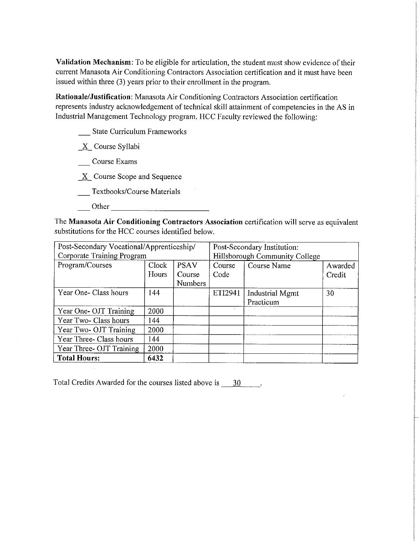**Validation Mechanism:** To be eligible for articulation, the student must show evidence of their current Manasota Air Conditioning Contractors Association certification and it must have been issued within three (3) years prior to their enrollment in the program.

Rationale/Justification: Manasota Air Conditioning Contractors Association certification represents industry acknowledgement of technical skill attainment of competencies in the AS in Industrial Management Technology program. HCC Faculty reviewed the following:

**State Curriculum Frameworks** 

 $X$  Course Syllabi

Course Exams

 $X$  Course Scope and Sequence

- Textbooks/Course Materials
	- ------------ Other

The **Manasota Air Conditioning Contractors Association** certification will serve as equivalent substitutions for the HCC courses identified below.

| Post-Secondary Vocational/Apprenticeship/ |       |                | Post-Secondary Institution:    |                        |         |
|-------------------------------------------|-------|----------------|--------------------------------|------------------------|---------|
| Corporate Training Program                |       |                | Hillsborough Community College |                        |         |
| Program/Courses                           | Clock | <b>PSAV</b>    | Course                         | Course Name            | Awarded |
|                                           | Hours | Course         | Code                           |                        | Credit  |
|                                           |       | <b>Numbers</b> |                                |                        |         |
| Year One- Class hours                     | 144   |                | ETI2941                        | <b>Industrial Mgmt</b> | 30      |
|                                           |       |                |                                | Practicum              |         |
| Year One- OJT Training                    | 2000  |                |                                |                        |         |
| Year Two- Class hours                     | 144   |                |                                |                        |         |
| Year Two- OJT Training                    | 2000  |                |                                |                        |         |
| Year Three- Class hours                   | 144   |                |                                |                        |         |
| Year Three- OJT Training                  | 2000  |                |                                |                        |         |
| <b>Total Hours:</b>                       | 6432  |                |                                |                        |         |

Total Credits Awarded for the courses listed above is  $\frac{30}{1}$ .